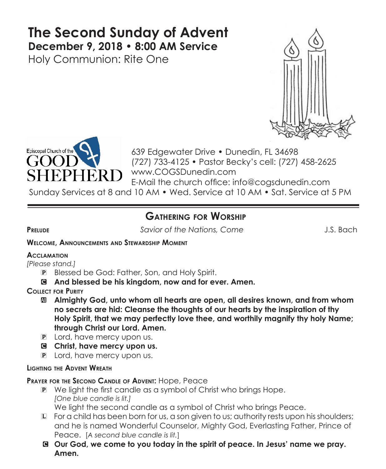# **The Second Sunday of Advent December 9, 2018 • 8:00 AM Service**

Holy Communion: Rite One





639 Edgewater Drive • Dunedin, FL 34698 (727) 733-4125 • Pastor Becky's cell: (727) 458-2625 SHEPHERD **www.COGSDunedin.com** E-Mail the church office: info@cogsdunedin.com

Sunday Services at 8 and 10 AM • Wed. Service at 10 AM • Sat. Service at 5 PM

## **Gathering for Worship**

**Prelude** *Savior of the Nations, Come* J.S. Bach

#### **Welcome, Announcements and Stewardship Moment**

#### **Acclamation**

*[Please stand.]* 

- P Blessed be God: Father, Son, and Holy Spirit.
- C **And blessed be his kingdom, now and for ever. Amen.**
- **Collect for Purity**
	- a **Almighty God, unto whom all hearts are open, all desires known, and from whom no secrets are hid: Cleanse the thoughts of our hearts by the inspiration of thy Holy Spirit, that we may perfectly love thee, and worthily magnify thy holy Name; through Christ our Lord. Amen.**
	- **P** Lord, have mercy upon us.
	- C **Christ, have mercy upon us.**
	- **P** Lord, have mercy upon us.

#### **Lighting the Advent Wreath**

**Prayer for the Second Candle of Advent:** Hope, Peace

- **P** We light the first candle as a symbol of Christ who brings Hope.  *[One blue candle is lit.]* We light the second candle as a symbol of Christ who brings Peace.
- $L$  For a child has been born for us, a son given to us; authority rests upon his shoulders; and he is named Wonderful Counselor, Mighty God, Everlasting Father, Prince of Peace.[*A second blue candle is lit.*]
- C **Our God, we come to you today in the spirit of peace. In Jesus' name we pray. Amen.**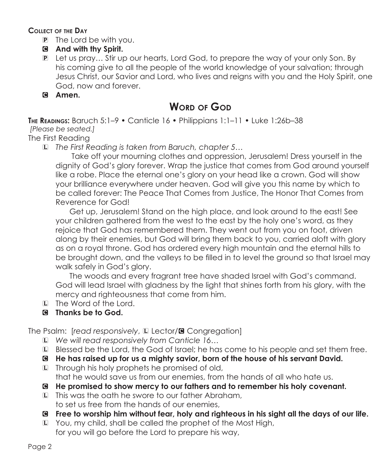#### **Collect of the Day**

- P The Lord be with you.
- C **And with thy Spirit.**
- P Let us pray... Stir up our hearts, Lord God, to prepare the way of your only Son. By his coming give to all the people of the world knowledge of your salvation; through Jesus Christ, our Savior and Lord, who lives and reigns with you and the Holy Spirit, one God, now and forever.
- C **Amen.**

## **Word of God**

**The Readings:** Baruch 5:1–9 • Canticle 16 • Philippians 1:1–11 • Luke 1:26b–38 *[Please be seated.]*

The First Reading

L *The First Reading is taken from Baruch, chapter 5…*

 Take off your mourning clothes and oppression, Jerusalem! Dress yourself in the dignity of God's glory forever. Wrap the justice that comes from God around yourself like a robe. Place the eternal one's glory on your head like a crown. God will show your brilliance everywhere under heaven. God will give you this name by which to be called forever: The Peace That Comes from Justice, The Honor That Comes from Reverence for God!

 Get up, Jerusalem! Stand on the high place, and look around to the east! See your children gathered from the west to the east by the holy one's word, as they rejoice that God has remembered them. They went out from you on foot, driven along by their enemies, but God will bring them back to you, carried aloft with glory as on a royal throne. God has ordered every high mountain and the eternal hills to be brought down, and the valleys to be filled in to level the ground so that Israel may walk safely in God's alory.

 The woods and every fragrant tree have shaded Israel with God's command. God will lead Israel with gladness by the light that shines forth from his glory, with the mercy and righteousness that come from him.

- L The Word of the Lord.
- C **Thanks be to God.**

The Psalm: [*read responsively*, La Lector/<sup>*G*</sup> Congregation]

- L *We will read responsively from Canticle 16…*
- L Blessed be the Lord, the God of Israel; he has come to his people and set them free.
- C **He has raised up for us a mighty savior, born of the house of his servant David.**
- $L$  Through his holy prophets he promised of old, that he would save us from our enemies, from the hands of all who hate us.
- C **He promised to show mercy to our fathers and to remember his holy covenant.**
- $L$  This was the oath he swore to our father Abraham, to set us free from the hands of our enemies,
- C **Free to worship him without fear, holy and righteous in his sight all the days of our life.**
- L You, my child, shall be called the prophet of the Most High, for you will go before the Lord to prepare his way,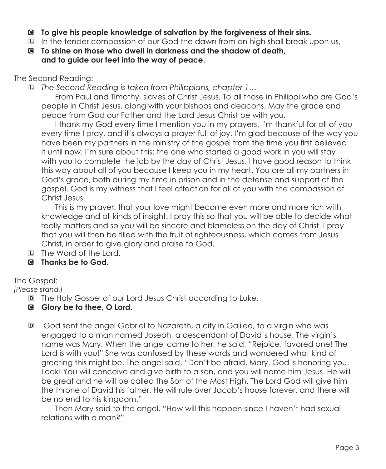- C **To give his people knowledge of salvation by the forgiveness of their sins.**
- L In the tender compassion of our God the dawn from on high shall break upon us,
- C **To shine on those who dwell in darkness and the shadow of death, and to guide our feet into the way of peace.**

The Second Reading:

L *The Second Reading is taken from Philippians, chapter 1…*

 From Paul and Timothy, slaves of Christ Jesus. To all those in Philippi who are God's people in Christ Jesus, along with your bishops and deacons. May the grace and peace from God our Father and the Lord Jesus Christ be with you.

 I thank my God every time I mention you in my prayers. I'm thankful for all of you every time I pray, and it's always a prayer full of joy. I'm glad because of the way you have been my partners in the ministry of the gospel from the time you first believed it until now. I'm sure about this: the one who started a good work in you will stay with you to complete the job by the day of Christ Jesus. I have good reason to think this way about all of you because I keep you in my heart. You are all my partners in God's grace, both during my time in prison and in the defense and support of the gospel. God is my witness that I feel affection for all of you with the compassion of Christ Jesus.

 This is my prayer: that your love might become even more and more rich with knowledge and all kinds of insight. I pray this so that you will be able to decide what really matters and so you will be sincere and blameless on the day of Christ. I pray that you will then be filled with the fruit of righteousness, which comes from Jesus Christ, in order to give glory and praise to God.

- L The Word of the Lord.
- C **Thanks be to God.**

The Gospel:

*[Please stand.]*

- D The Holy Gospel of our Lord Jesus Christ according to Luke.
- C **Glory be to thee, O Lord.**
- D God sent the angel Gabriel to Nazareth, a city in Galilee, to a virgin who was engaged to a man named Joseph, a descendant of David's house. The virgin's name was Mary. When the angel came to her, he said, "Rejoice, favored one! The Lord is with you!" She was confused by these words and wondered what kind of greeting this might be. The angel said, "Don't be afraid, Mary. God is honoring you. Look! You will conceive and give birth to a son, and you will name him Jesus. He will be great and he will be called the Son of the Most High. The Lord God will give him the throne of David his father. He will rule over Jacob's house forever, and there will be no end to his kingdom."

 Then Mary said to the angel, "How will this happen since I haven't had sexual relations with a man?"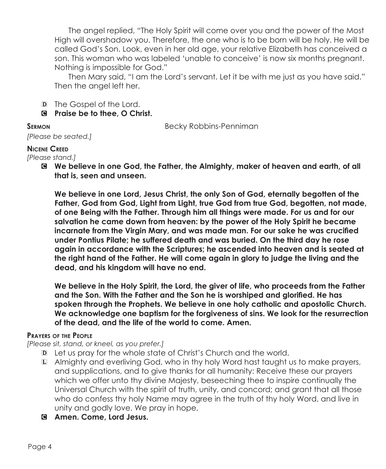The angel replied, "The Holy Spirit will come over you and the power of the Most High will overshadow you. Therefore, the one who is to be born will be holy. He will be called God's Son. Look, even in her old age, your relative Elizabeth has conceived a son. This woman who was labeled 'unable to conceive' is now six months pregnant. Nothing is impossible for God."

 Then Mary said, "I am the Lord's servant. Let it be with me just as you have said." Then the angel left her.

D The Gospel of the Lord.

#### C **Praise be to thee, O Christ.**

**SERMON Becky Robbins-Penniman** 

*[Please be seated.]*

#### **Nicene Creed**

#### *[Please stand.]*

C **We believe in one God, the Father, the Almighty, maker of heaven and earth, of all that is, seen and unseen.** 

 **We believe in one Lord, Jesus Christ, the only Son of God, eternally begotten of the Father, God from God, Light from Light, true God from true God, begotten, not made, of one Being with the Father. Through him all things were made. For us and for our salvation he came down from heaven: by the power of the Holy Spirit he became incarnate from the Virgin Mary, and was made man. For our sake he was crucified under Pontius Pilate; he suffered death and was buried. On the third day he rose again in accordance with the Scriptures; he ascended into heaven and is seated at the right hand of the Father. He will come again in glory to judge the living and the dead, and his kingdom will have no end.**

 **We believe in the Holy Spirit, the Lord, the giver of life, who proceeds from the Father and the Son. With the Father and the Son he is worshiped and glorified. He has spoken through the Prophets. We believe in one holy catholic and apostolic Church. We acknowledge one baptism for the forgiveness of sins. We look for the resurrection of the dead, and the life of the world to come. Amen.**

#### **Prayers of the People**

*[Please sit, stand, or kneel, as you prefer.]*

- D Let us pray for the whole state of Christ's Church and the world.
- L Almighty and everliving God, who in thy holy Word hast taught us to make prayers, and supplications, and to give thanks for all humanity: Receive these our prayers which we offer unto thy divine Majesty, beseeching thee to inspire continually the Universal Church with the spirit of truth, unity, and concord; and grant that all those who do confess thy holy Name may agree in the truth of thy holy Word, and live in unity and godly love. We pray in hope,
- C **Amen. Come, Lord Jesus.**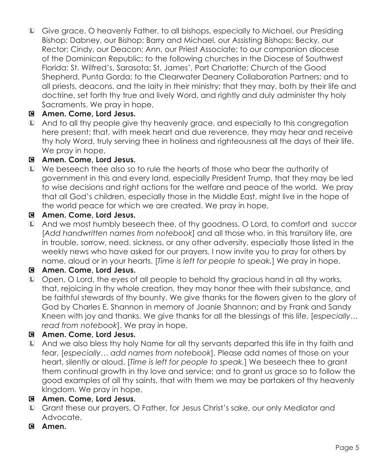L Give grace, O heavenly Father, to all bishops, especially to Michael, our Presiding Bishop; Dabney, our Bishop; Barry and Michael, our Assisting Bishops; Becky, our Rector; Cindy, our Deacon; Ann, our Priest Associate; to our companion diocese of the Dominican Republic; to the following churches in the Diocese of Southwest Florida: St. Wilfred's, Sarasota; St. James', Port Charlotte; Church of the Good Shepherd, Punta Gorda; to the Clearwater Deanery Collaboration Partners; and to all priests, deacons, and the laity in their ministry; that they may, both by their life and doctrine, set forth thy true and lively Word, and rightly and duly administer thy holy Sacraments. We pray in hope,

### C **Amen. Come, Lord Jesus.**

L And to all thy people give thy heavenly grace, and especially to this congregation here present; that, with meek heart and due reverence, they may hear and receive thy holy Word, truly serving thee in holiness and righteousness all the days of their life. We pray in hope,

### C **Amen. Come, Lord Jesus.**

L We beseech thee also so to rule the hearts of those who bear the authority of government in this and every land, especially President Trump, that they may be led to wise decisions and right actions for the welfare and peace of the world. We pray that all God's children, especially those in the Middle East, might live in the hope of the world peace for which we are created. We pray in hope,

#### C **Amen. Come, Lord Jesus.**

L And we most humbly beseech thee, of thy goodness, O Lord, to comfort and succor [*Add handwritten names from notebook*] and all those who, in this transitory life, are in trouble, sorrow, need, sickness, or any other adversity, especially those listed in the weekly news who have asked for our prayers. I now invite you to pray for others by name, aloud or in your hearts. [*Time is left for people to speak.*] We pray in hope,

#### C **Amen. Come, Lord Jesus.**

L Open, O Lord, the eyes of all people to behold thy gracious hand in all thy works, that, rejoicing in thy whole creation, they may honor thee with their substance, and be faithful stewards of thy bounty. We give thanks for the flowers given to the glory of God by Charles E. Shannon in memory of Joanie Shannon; and by Frank and Sandy Kneen with joy and thanks. We give thanks for all the blessings of this life, [*especially… read from notebook*]. We pray in hope,

#### C **Amen. Come, Lord Jesus.**

L And we also bless thy holy Name for all thy servants departed this life in thy faith and fear, [*especially… add names from notebook*]. Please add names of those on your heart, silently or aloud. [*Time is left for people to speak.*] We beseech thee to grant them continual growth in thy love and service; and to grant us grace so to follow the good examples of all thy saints, that with them we may be partakers of thy heavenly kingdom. We pray in hope,

#### C **Amen. Come, Lord Jesus.**

- L Grant these our prayers, O Father, for Jesus Christ's sake, our only Mediator and Advocate.
- C **Amen.**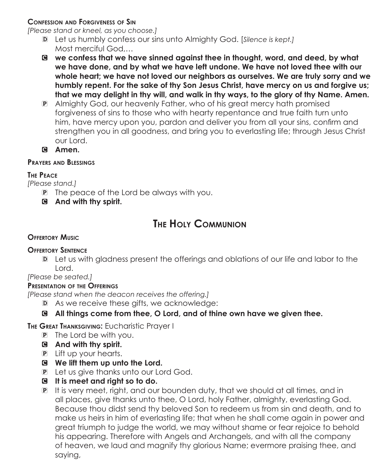#### **Confession and Forgiveness of Sin**

*[Please stand or kneel, as you choose.]*

- D Let us humbly confess our sins unto Almighty God. [*Silence is kept.]* Most merciful God,…
- C **we confess that we have sinned against thee in thought, word, and deed, by what we have done, and by what we have left undone. We have not loved thee with our whole heart; we have not loved our neighbors as ourselves. We are truly sorry and we humbly repent. For the sake of thy Son Jesus Christ, have mercy on us and forgive us; that we may delight in thy will, and walk in thy ways, to the glory of thy Name. Amen.**
- P Almighty God, our heavenly Father, who of his great mercy hath promised forgiveness of sins to those who with hearty repentance and true faith turn unto him, have mercy upon you, pardon and deliver you from all your sins, confirm and strengthen you in all goodness, and bring you to everlasting life; through Jesus Christ our Lord.
- C **Amen.**

#### **Prayers and Blessings**

#### **The Peace**

*[Please stand.]*

- **P** The peace of the Lord be always with you.
- C **And with thy spirit.**

## **The Holy Communion**

#### **Offertory Music**

#### **Offertory Sentence**

D Let us with gladness present the offerings and oblations of our life and labor to the Lord.

*[Please be seated.]*

#### **Presentation of the Offerings**

*[Please stand when the deacon receives the offering.]*

- D As we receive these gifts, we acknowledge:
- C **All things come from thee, O Lord, and of thine own have we given thee.**

#### **The Great Thanksgiving:** Eucharistic Prayer I

- P The Lord be with you.
- C **And with thy spirit.**
- P Lift up your hearts.
- C **We lift them up unto the Lord.**
- **P** Let us give thanks unto our Lord God.
- C **It is meet and right so to do.**
- P It is very meet, right, and our bounden duty, that we should at all times, and in all places, give thanks unto thee, O Lord, holy Father, almighty, everlasting God. Because thou didst send thy beloved Son to redeem us from sin and death, and to make us heirs in him of everlasting life; that when he shall come again in power and great triumph to judge the world, we may without shame or fear rejoice to behold his appearing. Therefore with Angels and Archangels, and with all the company of heaven, we laud and magnify thy glorious Name; evermore praising thee, and saying,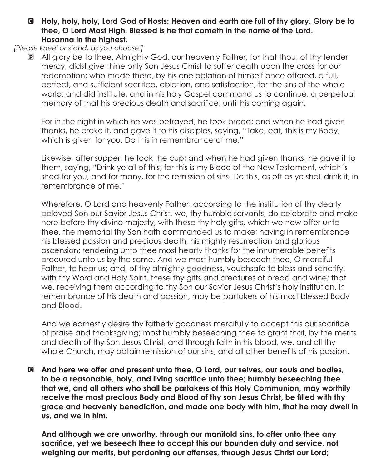C **Holy, holy, holy, Lord God of Hosts: Heaven and earth are full of thy glory. Glory be to thee, O Lord Most High. Blessed is he that cometh in the name of the Lord. Hosanna in the highest.**

*[Please kneel or stand, as you choose.]*

P All glory be to thee, Almighty God, our heavenly Father, for that thou, of thy tender mercy, didst give thine only Son Jesus Christ to suffer death upon the cross for our redemption; who made there, by his one oblation of himself once offered, a full, perfect, and sufficient sacrifice, oblation, and satisfaction, for the sins of the whole world; and did institute, and in his holy Gospel command us to continue, a perpetual memory of that his precious death and sacrifice, until his coming again.

 For in the night in which he was betrayed, he took bread; and when he had given thanks, he brake it, and gave it to his disciples, saying, "Take, eat, this is my Body, which is given for you. Do this in remembrance of me."

Likewise, after supper, he took the cup; and when he had given thanks, he gave it to them, saying, "Drink ye all of this; for this is my Blood of the New Testament, which is shed for you, and for many, for the remission of sins. Do this, as oft as ye shall drink it, in remembrance of me."

 Wherefore, O Lord and heavenly Father, according to the institution of thy dearly beloved Son our Savior Jesus Christ, we, thy humble servants, do celebrate and make here before thy divine majesty, with these thy holy gifts, which we now offer unto thee, the memorial thy Son hath commanded us to make; having in remembrance his blessed passion and precious death, his mighty resurrection and glorious ascension; rendering unto thee most hearty thanks for the innumerable benefits procured unto us by the same. And we most humbly beseech thee, O merciful Father, to hear us; and, of thy almighty goodness, vouchsafe to bless and sanctify, with thy Word and Holy Spirit, these thy gifts and creatures of bread and wine; that we, receiving them according to thy Son our Savior Jesus Christ's holy institution, in remembrance of his death and passion, may be partakers of his most blessed Body and Blood.

 And we earnestly desire thy fatherly goodness mercifully to accept this our sacrifice of praise and thanksgiving; most humbly beseeching thee to grant that, by the merits and death of thy Son Jesus Christ, and through faith in his blood, we, and all thy whole Church, may obtain remission of our sins, and all other benefits of his passion.

C **And here we offer and present unto thee, O Lord, our selves, our souls and bodies, to be a reasonable, holy, and living sacrifice unto thee; humbly beseeching thee that we, and all others who shall be partakers of this Holy Communion, may worthily receive the most precious Body and Blood of thy son Jesus Christ, be filled with thy grace and heavenly benediction, and made one body with him, that he may dwell in us, and we in him.**

 **And although we are unworthy, through our manifold sins, to offer unto thee any sacrifice, yet we beseech thee to accept this our bounden duty and service, not weighing our merits, but pardoning our offenses, through Jesus Christ our Lord;**